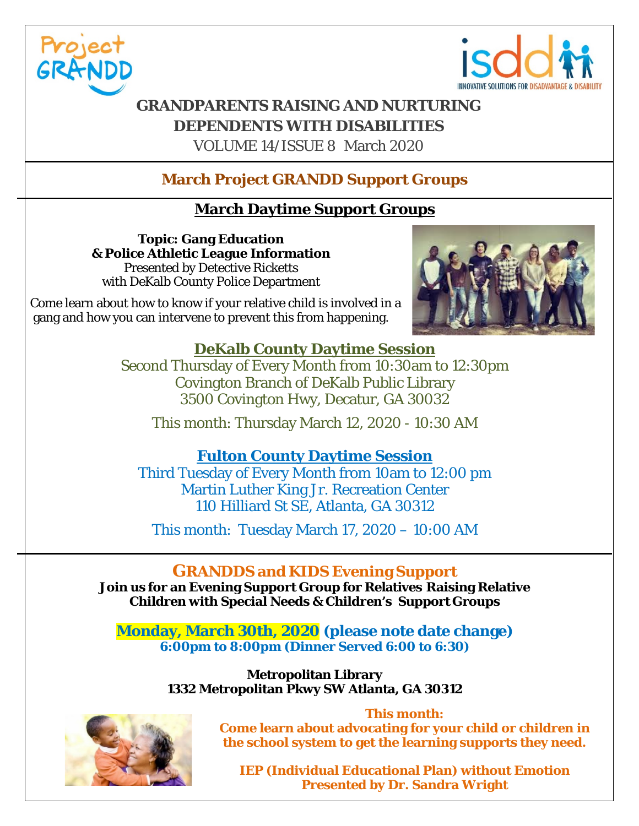



# **GRANDPARENTS RAISING AND NURTURING DEPENDENTS WITH DISABILITIES**

VOLUME 14/ISSUE 8 March 2020

# **March Project GRANDD Support Groups**

## **March Daytime Support Groups**

**Topic: Gang Education & Police Athletic League Information** Presented by Detective Ricketts with DeKalb County Police Department

 Come learn about how to know if your relative child is involved in a gang and how you can intervene to prevent this from happening.



### **DeKalb County Daytime Session**

Second Thursday of Every Month from 10:30am to 12:30pm Covington Branch of DeKalb Public Library 3500 Covington Hwy, Decatur, GA 30032

This month: Thursday March 12, 2020 - 10:30 AM

## **Fulton County Daytime Session**

Third Tuesday of Every Month from 10am to 12:00 pm Martin Luther King Jr. Recreation Center 110 Hilliard St SE, Atlanta, GA 30312

This month: Tuesday March 17, 2020 – 10:00 AM

## **GRANDDS and KIDS Evening Support**

**Join us for an Evening Support Group for Relatives Raising Relative Children with Special Needs & Children's Support Groups**

**Monday, March 30th, 2020 (please note date change) 6:00pm to 8:00pm (Dinner Served 6:00 to 6:30)**

> **Metropolitan Library 1332 Metropolitan Pkwy SW Atlanta, GA 30312**



**This month: Come learn about advocating for your child or children in the school system to get the learning supports they need.** 

**IEP (Individual Educational Plan) without Emotion Presented by Dr. Sandra Wright**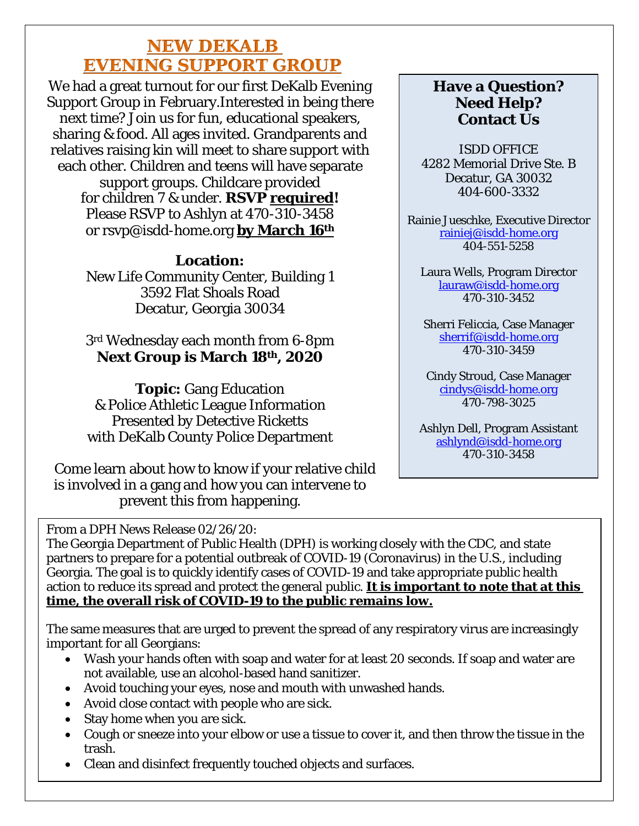# **NEW DEKALB EVENING SUPPORT GROUP**

We had a great turnout for our first DeKalb Evening Support Group in February.Interested in being there next time? Join us for fun, educational speakers, sharing & food. All ages invited. Grandparents and relatives raising kin will meet to share support with each other. Children and teens will have separate support groups. Childcare provided for children 7 & under. **RSVP required!** Please RSVP to Ashlyn at 470-310-3458 or rsvp@isdd-home.org **by March 16th**

#### **Location:**

New Life Community Center, Building 1 3592 Flat Shoals Road Decatur, Georgia 30034

### 3rd Wednesday each month from 6-8pm **Next Group is March 18th, 2020**

**Topic:** Gang Education & Police Athletic League Information Presented by Detective Ricketts with DeKalb County Police Department

 Come learn about how to know if your relative child is involved in a gang and how you can intervene to prevent this from happening.

## **Have a Question? Need Help? Contact Us**

ISDD OFFICE 4282 Memorial Drive Ste. B Decatur, GA 30032 404-600-3332

Rainie Jueschke, Executive Director [rainiej@isdd-home.org](mailto:rainiej@isdd-home.org) 404-551-5258

Laura Wells, Program Director [lauraw@isdd-home.org](mailto:lauraw@isdd-home.org) 470-310-3452

Sherri Feliccia, Case Manager [sherrif@isdd-home.org](mailto:sherrif@isdd-home.org) 470-310-3459

Cindy Stroud, Case Manager [cindys@isdd-home.org](mailto:cindys@isdd-home.org) 470-798-3025

Ashlyn Dell, Program Assistant [ashlynd@isdd-home.org](mailto:ashlynd@isdd-home.org) 470-310-3458

From a DPH News Release 02/26/20:

The Georgia Department of Public Health (DPH) is working closely with the CDC, and state partners to prepare for a potential outbreak of COVID-19 (Coronavirus) in the U.S., including Georgia. The goal is to quickly identify cases of COVID-19 and take appropriate public health action to reduce its spread and protect the general public. **It is important to note that at this time, the overall risk of COVID-19 to the public remains low.**

The same measures that are urged to prevent the spread of any respiratory virus are increasingly important for all Georgians:

- Wash your hands often with soap and water for at least 20 seconds. If soap and water are not available, use an alcohol-based hand sanitizer.
- Avoid touching your eyes, nose and mouth with unwashed hands.
- Avoid close contact with people who are sick.
- Stay home when you are sick.
- Cough or sneeze into your elbow or use a tissue to cover it, and then throw the tissue in the trash.
- Clean and disinfect frequently touched objects and surfaces.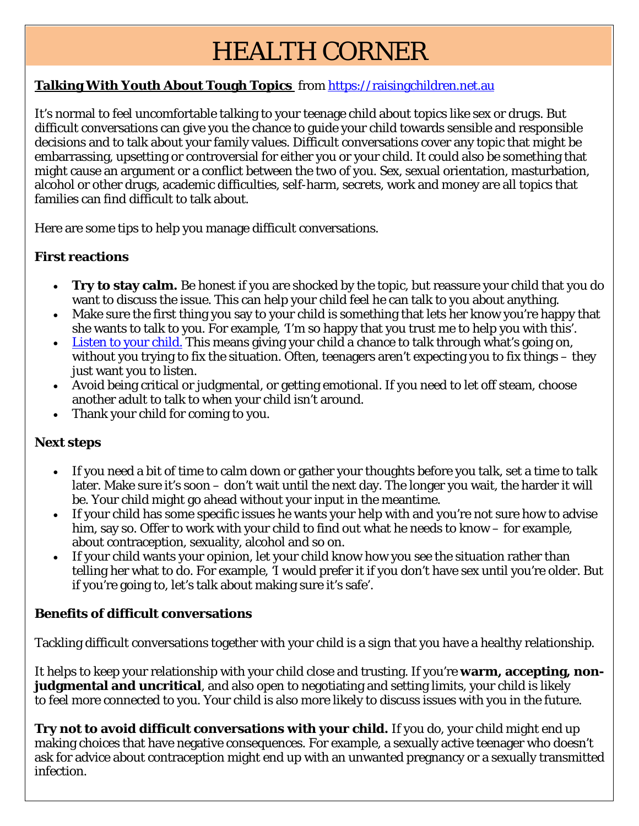# HEALTH CORNER

### **Talking With Youth About Tough Topics** from [https://raisingchildren.net.au](https://raisingchildren.net.au/)

It's normal to feel uncomfortable talking to your teenage child about topics like sex or drugs. But difficult conversations can give you the chance to guide your child towards sensible and responsible decisions and to talk about your family values. Difficult conversations cover any topic that might be embarrassing, upsetting or controversial for either you or your child. It could also be something that might cause an argument or a conflict between the two of you. Sex, sexual orientation, masturbation, alcohol or other drugs, academic difficulties, self-harm, secrets, work and money are all topics that families can find difficult to talk about.

Here are some tips to help you manage difficult conversations.

#### **First reactions**

- **Try to stay calm.** Be honest if you are shocked by the topic, but reassure your child that you do want to discuss the issue. This can help your child feel he can talk to you about anything.
- Make sure the first thing you say to your child is something that lets her know you're happy that she wants to talk to you. For example, 'I'm so happy that you trust me to help you with this'.
- [Listen to your child.](https://raisingchildren.net.au/pre-teens/communicating-relationships/communicating/active-listening) This means giving your child a chance to talk through what's going on, without you trying to fix the situation. Often, teenagers aren't expecting you to fix things – they just want you to listen.
- Avoid being critical or judgmental, or getting emotional. If you need to let off steam, choose another adult to talk to when your child isn't around.
- Thank your child for coming to you.

#### **Next steps**

- If you need a bit of time to calm down or gather your thoughts before you talk, set a time to talk later. Make sure it's soon – don't wait until the next day. The longer you wait, the harder it will be. Your child might go ahead without your input in the meantime.
- If your child has some specific issues he wants your help with and you're not sure how to advise him, say so. Offer to work with your child to find out what he needs to know – for example, about contraception, sexuality, alcohol and so on.
- If your child wants your opinion, let your child know how you see the situation rather than telling her what to do. For example, 'I would prefer it if you don't have sex until you're older. But if you're going to, let's talk about making sure it's safe'.

#### **Benefits of difficult conversations**

Tackling difficult conversations together with your child is a sign that you have a healthy relationship.

It helps to keep your relationship with your child close and trusting. If you're **warm, accepting, nonjudgmental and uncritical**, and also open to negotiating and setting limits, your child is likely to feel more connected to you. Your child is also more likely to discuss issues with you in the future.

**Try not to avoid difficult conversations with your child.** If you do, your child might end up making choices that have negative consequences. For example, a sexually active teenager who doesn't ask for advice about contraception might end up with an unwanted pregnancy or a sexually transmitted infection.